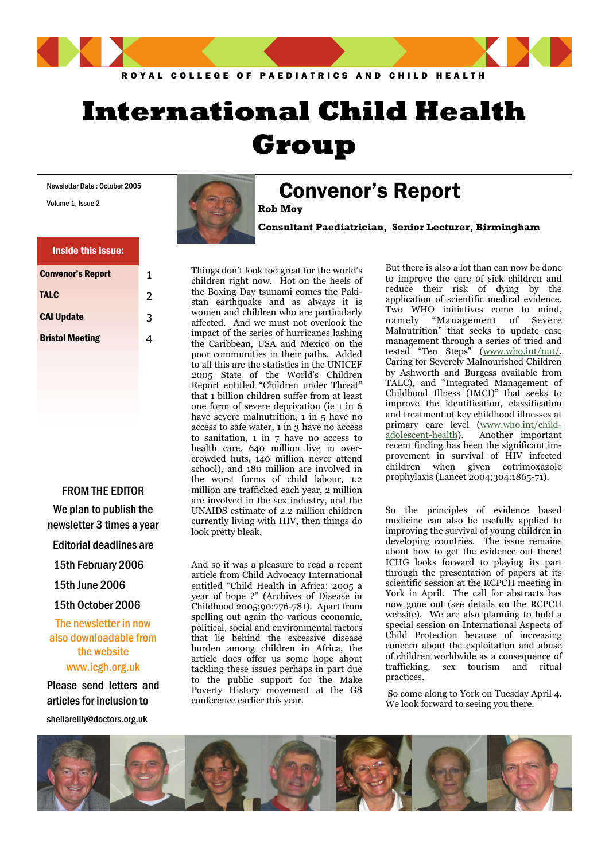

# **International Child Health Group**

Newsletter Date : October 2005

Volume 1, Issue 2

#### Inside this issue:

| <b>Convenor's Report</b> | 1 |
|--------------------------|---|
| <b>TALC</b>              | フ |
| <b>CAI Update</b>        | 3 |
| <b>Bristol Meeting</b>   |   |

FROM THE EDITOR We plan to publish the newsletter 3 times a year

Editorial deadlines are

15th February 2006

15th June 2006

15th October 2006

The newsletter in now also downloadable from the website www.icgh.org.uk

Please send letters and articles for inclusion to

sheilareilly@doctors.org.uk



## Convenor's Report

**Consultant Paediatrician, Senior Lecturer, Birmingham** 

Things don't look too great for the world's children right now. Hot on the heels of the Boxing Day tsunami comes the Pakistan earthquake and as always it is women and children who are particularly affected. And we must not overlook the impact of the series of hurricanes lashing the Caribbean, USA and Mexico on the poor communities in their paths. Added to all this are the statistics in the UNICEF 2005 State of the World's Children Report entitled "Children under Threat" that 1 billion children suffer from at least one form of severe deprivation (ie 1 in 6 have severe malnutrition, 1 in 5 have no access to safe water, 1 in 3 have no access to sanitation, 1 in 7 have no access to health care, 640 million live in overcrowded huts, 140 million never attend school), and 180 million are involved in the worst forms of child labour, 1.2 million are trafficked each year, 2 million are involved in the sex industry, and the UNAIDS estimate of 2.2 million children currently living with HIV, then things do look pretty bleak.

And so it was a pleasure to read a recent article from Child Advocacy International entitled "Child Health in Africa: 2005 a year of hope ?" (Archives of Disease in Childhood 2005;90:776-781). Apart from spelling out again the various economic, political, social and environmental factors that lie behind the excessive disease burden among children in Africa, the article does offer us some hope about tackling these issues perhaps in part due to the public support for the Make Poverty History movement at the G8 conference earlier this year.

But there is also a lot than can now be done to improve the care of sick children and reduce their risk of dying by the application of scientific medical evidence. Two WHO initiatives come to mind, namely "Management of Severe Malnutrition" that seeks to update case management through a series of tried and tested "Ten Steps" [\(www.who.int/nut/](http://www.who.int/nut/), Caring for Severely Malnourished Children by Ashworth and Burgess available from TALC), and "Integrated Management of Childhood Illness (IMCI)" that seeks to improve the identification, classification and treatment of key childhood illnesses at primary care level [\(www.who.int/child](http://www.who.int/child-adolescent-health)[adolescent-health\)](http://www.who.int/child-adolescent-health). Another important recent finding has been the significant improvement in survival of HIV infected children when given cotrimoxazole prophylaxis (Lancet 2004;304:1865-71).

So the principles of evidence based medicine can also be usefully applied to improving the survival of young children in developing countries. The issue remains about how to get the evidence out there! ICHG looks forward to playing its part through the presentation of papers at its scientific session at the RCPCH meeting in York in April. The call for abstracts has now gone out (see details on the RCPCH website). We are also planning to hold a special session on International Aspects of Child Protection because of increasing concern about the exploitation and abuse of children worldwide as a consequence of trafficking, sex tourism and ritual practices.

 So come along to York on Tuesday April 4. We look forward to seeing you there.

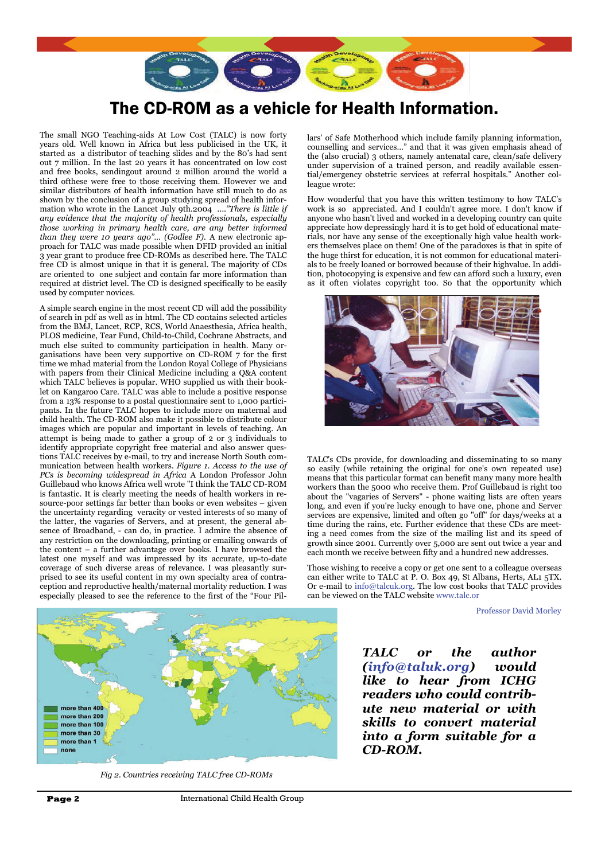

### The CD-ROM as a vehicle for Health Information.

The small NGO Teaching-aids At Low Cost (TALC) is now forty years old. Well known in Africa but less publicised in the UK, it started as a distributor of teaching slides and by the 80's had sent out 7 million. In the last 20 years it has concentrated on low cost and free books, sendingout around 2 million around the world a third ofthese were free to those receiving them. However we and similar distributors of health information have still much to do as shown by the conclusion of a group studying spread of health information who wrote in the Lancet July 9th.2004 *...."There is little if any evidence that the majority of health professionals, especially those working in primary health care, are any better informed than they were 10 years ago"… (Godlee F).* A new electronic approach for TALC was made possible when DFID provided an initial 3 year grant to produce free CD-ROMs as described here. The TALC free CD is almost unique in that it is general. The majority of CDs are oriented to one subject and contain far more information than required at district level. The CD is designed specifically to be easily used by computer novices.

A simple search engine in the most recent CD will add the possibility of search in pdf as well as in html. The CD contains selected articles from the BMJ, Lancet, RCP, RCS, World Anaesthesia, Africa health, PLOS medicine, Tear Fund, Child-to-Child, Cochrane Abstracts, and much else suited to community participation in health. Many organisations have been very supportive on CD-ROM 7 for the first time we mhad material from the London Royal College of Physicians with papers from their Clinical Medicine including a Q&A content which TALC believes is popular. WHO supplied us with their booklet on Kangaroo Care. TALC was able to include a positive response from a 13% response to a postal questionnaire sent to 1,000 participants. In the future TALC hopes to include more on maternal and child health. The CD-ROM also make it possible to distribute colour images which are popular and important in levels of teaching. An attempt is being made to gather a group of 2 or 3 individuals to identify appropriate copyright free material and also answer questions TALC receives by e-mail, to try and increase North South communication between health workers. *Figure 1. Access to the use of PCs is becoming widespread in Africa* A London Professor John Guillebaud who knows Africa well wrote "I think the TALC CD-ROM is fantastic. It is clearly meeting the needs of health workers in resource-poor settings far better than books or even websites – given the uncertainty regarding veracity or vested interests of so many of the latter, the vagaries of Servers, and at present, the general absence of Broadband, - can do, in practice. I admire the absence of any restriction on the downloading, printing or emailing onwards of the content – a further advantage over books. I have browsed the latest one myself and was impressed by its accurate, up-to-date coverage of such diverse areas of relevance. I was pleasantly surprised to see its useful content in my own specialty area of contraception and reproductive health/maternal mortality reduction. I was especially pleased to see the reference to the first of the "Four Pil-



*Fig 2. Countries receiving TALC free CD-ROMs*

lars' of Safe Motherhood which include family planning information, counselling and services…" and that it was given emphasis ahead of the (also crucial) 3 others, namely antenatal care, clean/safe delivery under supervision of a trained person, and readily available essential/emergency obstetric services at referral hospitals." Another colleague wrote:

How wonderful that you have this written testimony to how TALC's work is so appreciated. And I couldn't agree more. I don't know if anyone who hasn't lived and worked in a developing country can quite appreciate how depressingly hard it is to get hold of educational materials, nor have any sense of the exceptionally high value health workers themselves place on them! One of the paradoxes is that in spite of the huge thirst for education, it is not common for educational materials to be freely loaned or borrowed because of their highvalue. In addition, photocopying is expensive and few can afford such a luxury, even as it often violates copyright too. So that the opportunity which



TALC's CDs provide, for downloading and disseminating to so many so easily (while retaining the original for one's own repeated use) means that this particular format can benefit many many more health workers than the 5000 who receive them. Prof Guillebaud is right too about the "vagaries of Servers" - phone waiting lists are often years long, and even if you're lucky enough to have one, phone and Server services are expensive, limited and often go "off" for days/weeks at a time during the rains, etc. Further evidence that these CDs are meeting a need comes from the size of the mailing list and its speed of growth since 2001. Currently over 5,000 are sent out twice a year and each month we receive between fifty and a hundred new addresses.

Those wishing to receive a copy or get one sent to a colleague overseas can either write to TALC at P. O. Box 49, St Albans, Herts, AL1 5TX. Or e-mail to info@talcuk.org. The low cost books that TALC provides can be viewed on the TALC website www.talc.or

Professor David Morley

*TALC or the author (info@taluk.org) would like to hear from ICHG readers who could contribute new material or with skills to convert material into a form suitable for a CD-ROM.*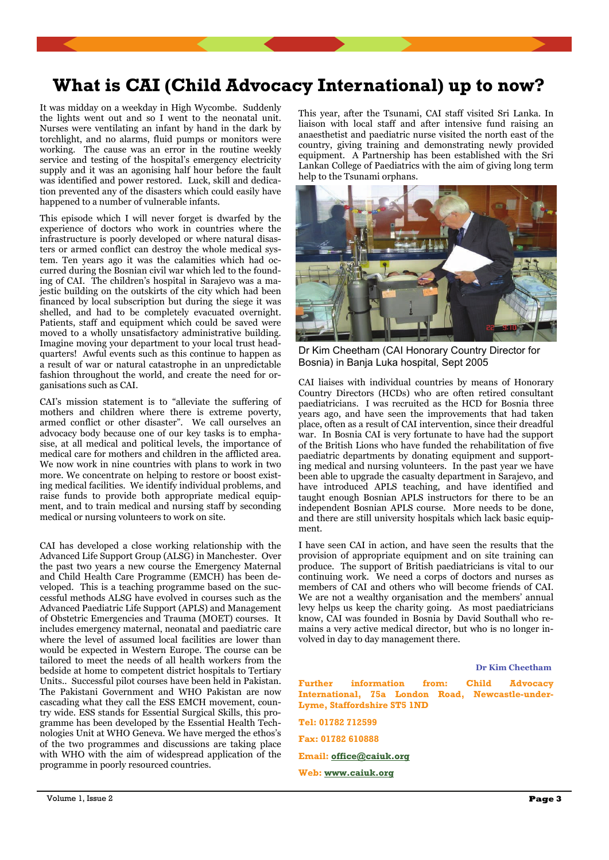### **What is CAI (Child Advocacy International) up to now?**

It was midday on a weekday in High Wycombe. Suddenly the lights went out and so I went to the neonatal unit. Nurses were ventilating an infant by hand in the dark by torchlight, and no alarms, fluid pumps or monitors were working. The cause was an error in the routine weekly service and testing of the hospital's emergency electricity supply and it was an agonising half hour before the fault was identified and power restored. Luck, skill and dedication prevented any of the disasters which could easily have happened to a number of vulnerable infants.

This episode which I will never forget is dwarfed by the experience of doctors who work in countries where the infrastructure is poorly developed or where natural disasters or armed conflict can destroy the whole medical system. Ten years ago it was the calamities which had occurred during the Bosnian civil war which led to the founding of CAI. The children's hospital in Sarajevo was a majestic building on the outskirts of the city which had been financed by local subscription but during the siege it was shelled, and had to be completely evacuated overnight. Patients, staff and equipment which could be saved were moved to a wholly unsatisfactory administrative building. Imagine moving your department to your local trust headquarters! Awful events such as this continue to happen as a result of war or natural catastrophe in an unpredictable fashion throughout the world, and create the need for organisations such as CAI.

CAI's mission statement is to "alleviate the suffering of mothers and children where there is extreme poverty, armed conflict or other disaster". We call ourselves an advocacy body because one of our key tasks is to emphasise, at all medical and political levels, the importance of medical care for mothers and children in the afflicted area. We now work in nine countries with plans to work in two more. We concentrate on helping to restore or boost existing medical facilities. We identify individual problems, and raise funds to provide both appropriate medical equipment, and to train medical and nursing staff by seconding medical or nursing volunteers to work on site.

CAI has developed a close working relationship with the Advanced Life Support Group (ALSG) in Manchester. Over the past two years a new course the Emergency Maternal and Child Health Care Programme (EMCH) has been developed. This is a teaching programme based on the successful methods ALSG have evolved in courses such as the Advanced Paediatric Life Support (APLS) and Management of Obstetric Emergencies and Trauma (MOET) courses. It includes emergency maternal, neonatal and paediatric care where the level of assumed local facilities are lower than would be expected in Western Europe. The course can be tailored to meet the needs of all health workers from the bedside at home to competent district hospitals to Tertiary Units.. Successful pilot courses have been held in Pakistan. The Pakistani Government and WHO Pakistan are now cascading what they call the ESS EMCH movement, country wide. ESS stands for Essential Surgical Skills, this programme has been developed by the Essential Health Technologies Unit at WHO Geneva. We have merged the ethos's of the two programmes and discussions are taking place with WHO with the aim of widespread application of the programme in poorly resourced countries.

This year, after the Tsunami, CAI staff visited Sri Lanka. In liaison with local staff and after intensive fund raising an anaesthetist and paediatric nurse visited the north east of the country, giving training and demonstrating newly provided equipment. A Partnership has been established with the Sri Lankan College of Paediatrics with the aim of giving long term help to the Tsunami orphans.



Dr Kim Cheetham (CAI Honorary Country Director for Bosnia) in Banja Luka hospital, Sept 2005

CAI liaises with individual countries by means of Honorary Country Directors (HCDs) who are often retired consultant paediatricians. I was recruited as the HCD for Bosnia three years ago, and have seen the improvements that had taken place, often as a result of CAI intervention, since their dreadful war. In Bosnia CAI is very fortunate to have had the support of the British Lions who have funded the rehabilitation of five paediatric departments by donating equipment and supporting medical and nursing volunteers. In the past year we have been able to upgrade the casualty department in Sarajevo, and have introduced APLS teaching, and have identified and taught enough Bosnian APLS instructors for there to be an independent Bosnian APLS course. More needs to be done, and there are still university hospitals which lack basic equipment.

I have seen CAI in action, and have seen the results that the provision of appropriate equipment and on site training can produce. The support of British paediatricians is vital to our continuing work. We need a corps of doctors and nurses as members of CAI and others who will become friends of CAI. We are not a wealthy organisation and the members' annual levy helps us keep the charity going. As most paediatricians know, CAI was founded in Bosnia by David Southall who remains a very active medical director, but who is no longer involved in day to day management there.

|                                  |  |  |  | Dr Kim Cheetham |                                                                                                     |  |  |
|----------------------------------|--|--|--|-----------------|-----------------------------------------------------------------------------------------------------|--|--|
| Lyme, Staffordshire ST5 1ND      |  |  |  |                 | <b>Further</b> information from: Child Advocacy<br>International, 75a London Road, Newcastle-under- |  |  |
| Tel: 01782 712599                |  |  |  |                 |                                                                                                     |  |  |
| Fax: 01782 610888                |  |  |  |                 |                                                                                                     |  |  |
| Email: $of\text{fice@caiuk.org}$ |  |  |  |                 |                                                                                                     |  |  |
| Web: www.caiuk.org               |  |  |  |                 |                                                                                                     |  |  |